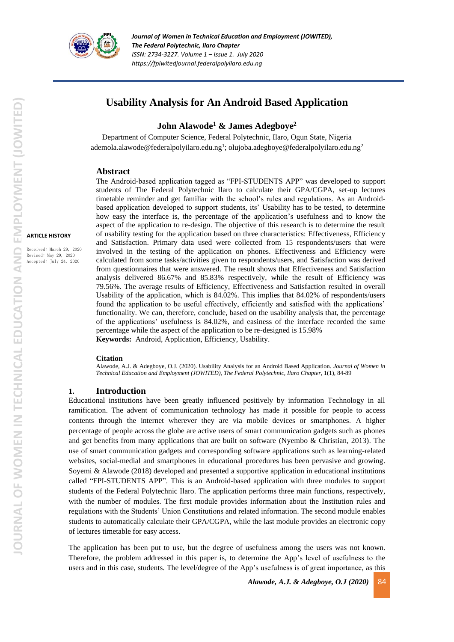

*Journal of Women in Technical Education and Employment (JOWITED), The Federal Polytechnic, Ilaro Chapter ISSN: 2734-3227. Volume 1 – Issue 1. July 2020 https://fpiwitedjournal.federalpolyilaro.edu.ng*

# **Usability Analysis for An Android Based Application**

**John Alawode<sup>1</sup> & James Adegboye<sup>2</sup>**

Department of Computer Science, Federal Polytechnic, Ilaro, Ogun State, Nigeria ademola.alawode@federalpolyilaro.edu.ng<sup>1</sup>; olujoba.adegboye@federalpolyilaro.edu.ng<sup>2</sup>

#### **Abstract**

The Android-based application tagged as "FPI-STUDENTS APP" was developed to support students of The Federal Polytechnic Ilaro to calculate their GPA/CGPA, set-up lectures timetable reminder and get familiar with the school's rules and regulations. As an Androidbased application developed to support students, its' Usability has to be tested, to determine how easy the interface is, the percentage of the application's usefulness and to know the aspect of the application to re-design. The objective of this research is to determine the result of usability testing for the application based on three characteristics: Effectiveness, Efficiency and Satisfaction. Primary data used were collected from 15 respondents/users that were involved in the testing of the application on phones. Effectiveness and Efficiency were calculated from some tasks/activities given to respondents/users, and Satisfaction was derived from questionnaires that were answered. The result shows that Effectiveness and Satisfaction analysis delivered 86.67% and 85.83% respectively, while the result of Efficiency was 79.56%. The average results of Efficiency, Effectiveness and Satisfaction resulted in overall Usability of the application, which is 84.02%. This implies that 84.02% of respondents/users found the application to be useful effectively, efficiently and satisfied with the applications' functionality. We can, therefore, conclude, based on the usability analysis that, the percentage of the applications' usefulness is 84.02%, and easiness of the interface recorded the same percentage while the aspect of the application to be re-designed is 15.98% **Keywords:** Android, Application, Efficiency, Usability.

#### **Citation**

Alawode, A.J. & Adegboye, O.J. (2020). Usability Analysis for an Android Based Application. *Journal of Women in Technical Education and Employment (JOWITED), The Federal Polytechnic, Ilaro Chapter*, 1(1), 84-89

#### **1. Introduction**

Educational institutions have been greatly influenced positively by information Technology in all ramification. The advent of communication technology has made it possible for people to access contents through the internet wherever they are via mobile devices or smartphones. A higher percentage of people across the globe are active users of smart communication gadgets such as phones and get benefits from many applications that are built on software (Nyembo  $\&$  Christian, 2013). The use of smart communication gadgets and corresponding software applications such as learning-related websites, social-medial and smartphones in educational procedures has been pervasive and growing. Soyemi & Alawode (2018) developed and presented a supportive application in educational institutions called "FPI-STUDENTS APP". This is an Android-based application with three modules to support students of the Federal Polytechnic Ilaro. The application performs three main functions, respectively, with the number of modules. The first module provides information about the Institution rules and regulations with the Students' Union Constitutions and related information. The second module enables students to automatically calculate their GPA/CGPA, while the last module provides an electronic copy of lectures timetable for easy access.

The application has been put to use, but the degree of usefulness among the users was not known. Therefore, the problem addressed in this paper is, to determine the App's level of usefulness to the users and in this case, students. The level/degree of the App's usefulness is of great importance, as this

*Alawode, A.J. & Adegboye, O.J (2020)* 84

Received: March 29, 2020 Revised: May 29, 2020 Accepted: July 24, 2020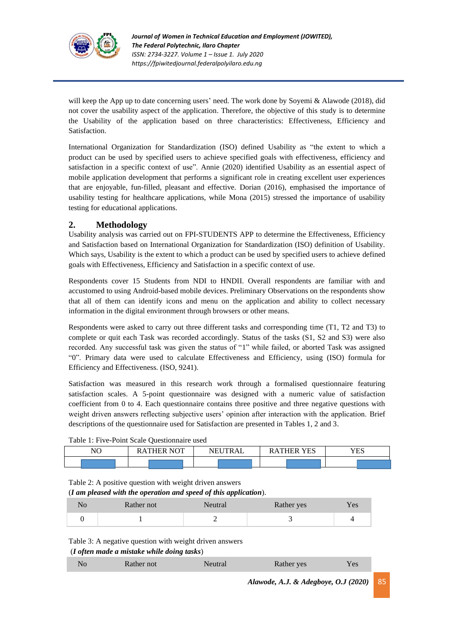

will keep the App up to date concerning users' need. The work done by Soyemi & Alawode (2018), did not cover the usability aspect of the application. Therefore, the objective of this study is to determine the Usability of the application based on three characteristics: Effectiveness, Efficiency and Satisfaction.

International Organization for Standardization (ISO) defined Usability as "the extent to which a product can be used by specified users to achieve specified goals with effectiveness, efficiency and satisfaction in a specific context of use". Annie (2020) identified Usability as an essential aspect of mobile application development that performs a significant role in creating excellent user experiences that are enjoyable, fun-filled, pleasant and effective. Dorian (2016), emphasised the importance of usability testing for healthcare applications, while Mona (2015) stressed the importance of usability testing for educational applications.

### **2. Methodology**

Usability analysis was carried out on FPI-STUDENTS APP to determine the Effectiveness, Efficiency and Satisfaction based on International Organization for Standardization (ISO) definition of Usability. Which says, Usability is the extent to which a product can be used by specified users to achieve defined goals with Effectiveness, Efficiency and Satisfaction in a specific context of use.

Respondents cover 15 Students from NDI to HNDII. Overall respondents are familiar with and accustomed to using Android-based mobile devices. Preliminary Observations on the respondents show that all of them can identify icons and menu on the application and ability to collect necessary information in the digital environment through browsers or other means.

Respondents were asked to carry out three different tasks and corresponding time (T1, T2 and T3) to complete or quit each Task was recorded accordingly. Status of the tasks (S1, S2 and S3) were also recorded. Any successful task was given the status of "1" while failed, or aborted Task was assigned "0". Primary data were used to calculate Effectiveness and Efficiency, using (ISO) formula for Efficiency and Effectiveness. (ISO, 9241).

Satisfaction was measured in this research work through a formalised questionnaire featuring satisfaction scales. A 5-point questionnaire was designed with a numeric value of satisfaction coefficient from 0 to 4. Each questionnaire contains three positive and three negative questions with weight driven answers reflecting subjective users' opinion after interaction with the application. Brief descriptions of the questionnaire used for Satisfaction are presented in Tables 1, 2 and 3.

| Table 1: Five-Point Scale Questionnaire used |  |
|----------------------------------------------|--|
|----------------------------------------------|--|

| NC | $\sqrt{2}$<br>NO.<br>. ⊷<br>▵ | TRAL<br>NE. | <b>VFS</b><br>THER<br>$\blacktriangle$<br>1. LN<br> | 7T <sub>0</sub><br>ES. |
|----|-------------------------------|-------------|-----------------------------------------------------|------------------------|
|    |                               |             |                                                     |                        |

Table 2: A positive question with weight driven answers

(*I am pleased with the operation and speed of this application*).

| Rather not | Neutral | Rather yes | Yes |
|------------|---------|------------|-----|
|            | —       |            |     |

Table 3: A negative question with weight driven answers

(*I often made a mistake while doing tasks*)

| - 10 | 'ather not | Rather yes | Y es |  |
|------|------------|------------|------|--|
|      |            |            |      |  |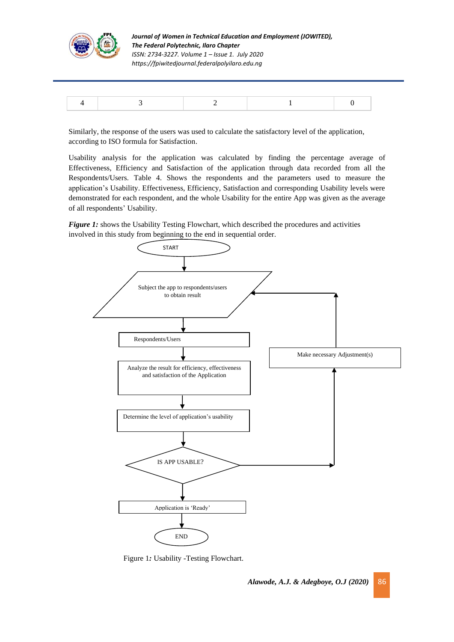

*Journal of Women in Technical Education and Employment (JOWITED), The Federal Polytechnic, Ilaro Chapter ISSN: 2734-3227. Volume 1 – Issue 1. July 2020 https://fpiwitedjournal.federalpolyilaro.edu.ng*

Similarly, the response of the users was used to calculate the satisfactory level of the application, according to ISO formula for Satisfaction.

Usability analysis for the application was calculated by finding the percentage average of Effectiveness, Efficiency and Satisfaction of the application through data recorded from all the Respondents/Users. Table 4. Shows the respondents and the parameters used to measure the application's Usability. Effectiveness, Efficiency, Satisfaction and corresponding Usability levels were demonstrated for each respondent, and the whole Usability for the entire App was given as the average of all respondents' Usability.

**Figure 1:** shows the Usability Testing Flowchart, which described the procedures and activities involved in this study from beginning to the end in sequential order.



Figure 1*:* Usability -Testing Flowchart.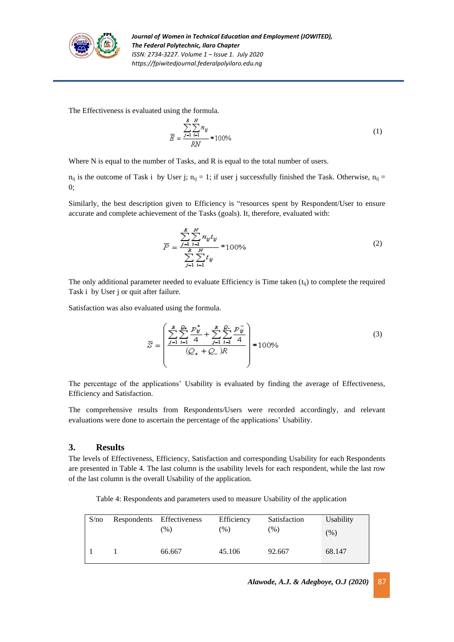

The Effectiveness is evaluated using the formula.

$$
\overline{E} = \frac{\sum_{j=1}^{R} \sum_{i=1}^{N} n_{ij}}{RN} * 100\%
$$
\n(1)

Where N is equal to the number of Tasks, and R is equal to the total number of users.

 $n_{ij}$  is the outcome of Task i by User j;  $n_{ij} = 1$ ; if user j successfully finished the Task. Otherwise,  $n_{ij} =$ 0;

Similarly, the best description given to Efficiency is "resources spent by Respondent/User to ensure accurate and complete achievement of the Tasks (goals). It, therefore, evaluated with:

$$
\overline{P} = \frac{\sum_{j=1}^{R} \sum_{i=1}^{N} n_{ij} t_{ij}}{\sum_{j=1}^{R} \sum_{i=1}^{N} t_{ij}} * 100\%
$$
\n(2)

The only additional parameter needed to evaluate Efficiency is Time taken  $(t_{ii})$  to complete the required Task i by User j or quit after failure.

Satisfaction was also evaluated using the formula.

$$
\overline{S} = \left(\frac{\sum_{j=1}^{R} \sum_{i=1}^{D_{\text{t}}} \frac{p_{\overline{y}}^{+}}{4} + \sum_{j=1}^{R} \sum_{i=1}^{D_{\text{t}}} \frac{p_{\overline{y}}^{-}}{4}}{(Q_{+} + Q_{-})R}\right) * 100\%
$$
\n(3)

The percentage of the applications' Usability is evaluated by finding the average of Effectiveness, Efficiency and Satisfaction.

The comprehensive results from Respondents/Users were recorded accordingly, and relevant evaluations were done to ascertain the percentage of the applications' Usability.

### **3. Results**

The levels of Effectiveness, Efficiency, Satisfaction and corresponding Usability for each Respondents are presented in Table 4. The last column is the usability levels for each respondent, while the last row of the last column is the overall Usability of the application.

Table 4: Respondents and parameters used to measure Usability of the application

| S/no | Respondents Effectiveness<br>$(\%)$ | Efficiency<br>$(\%)$ | Satisfaction<br>$(\%)$ | Usability<br>$(\%)$ |
|------|-------------------------------------|----------------------|------------------------|---------------------|
|      | 66.667                              | 45.106               | 92.667                 | 68.147              |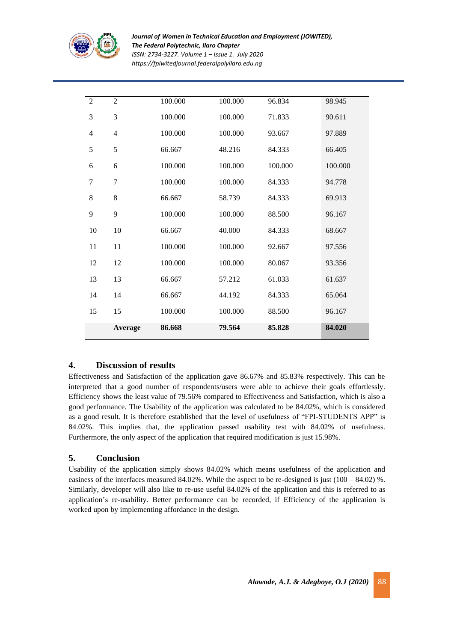

*Journal of Women in Technical Education and Employment (JOWITED), The Federal Polytechnic, Ilaro Chapter ISSN: 2734-3227. Volume 1 – Issue 1. July 2020 https://fpiwitedjournal.federalpolyilaro.edu.ng*

|                | Average        | 86.668  | 79.564  | 85.828  | 84.020  |
|----------------|----------------|---------|---------|---------|---------|
| 15             | 15             | 100.000 | 100.000 | 88.500  | 96.167  |
| 14             | 14             | 66.667  | 44.192  | 84.333  | 65.064  |
| 13             | 13             | 66.667  | 57.212  | 61.033  | 61.637  |
| 12             | 12             | 100.000 | 100.000 | 80.067  | 93.356  |
| 11             | 11             | 100.000 | 100.000 | 92.667  | 97.556  |
| 10             | 10             | 66.667  | 40.000  | 84.333  | 68.667  |
| 9              | 9              | 100.000 | 100.000 | 88.500  | 96.167  |
| 8              | 8              | 66.667  | 58.739  | 84.333  | 69.913  |
| $\overline{7}$ | $\overline{7}$ | 100.000 | 100.000 | 84.333  | 94.778  |
| 6              | 6              | 100.000 | 100.000 | 100.000 | 100.000 |
| 5              | 5              | 66.667  | 48.216  | 84.333  | 66.405  |
| 4              | $\overline{4}$ | 100.000 | 100.000 | 93.667  | 97.889  |
| 3              | 3              | 100.000 | 100.000 | 71.833  | 90.611  |
| $\overline{2}$ | $\overline{2}$ | 100.000 | 100.000 | 96.834  | 98.945  |

# **4. Discussion of results**

Effectiveness and Satisfaction of the application gave 86.67% and 85.83% respectively. This can be interpreted that a good number of respondents/users were able to achieve their goals effortlessly. Efficiency shows the least value of 79.56% compared to Effectiveness and Satisfaction, which is also a good performance. The Usability of the application was calculated to be 84.02%, which is considered as a good result. It is therefore established that the level of usefulness of "FPI-STUDENTS APP" is 84.02%. This implies that, the application passed usability test with 84.02% of usefulness. Furthermore, the only aspect of the application that required modification is just 15.98%.

# **5. Conclusion**

Usability of the application simply shows 84.02% which means usefulness of the application and easiness of the interfaces measured 84.02%. While the aspect to be re-designed is just (100 – 84.02) %. Similarly, developer will also like to re-use useful 84.02% of the application and this is referred to as application's re-usability. Better performance can be recorded, if Efficiency of the application is worked upon by implementing affordance in the design.